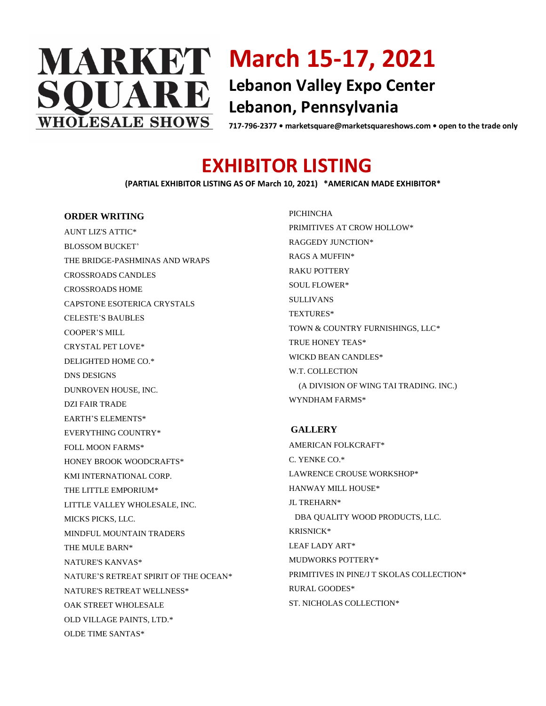# SQUARE **HOLESALE SHOWS**

# **MARKET** March 15-17, 2021 **Lebanon Valley Expo Center Lebanon, Pennsylvania**

**717-796-2377 • marketsquare@marketsquareshows.com • open to the trade only**

## **EXHIBITOR LISTING**

#### **(PARTIAL EXHIBITOR LISTING AS OF March 10, 2021) \*AMERICAN MADE EXHIBITOR\***

#### **ORDER WRITING**

AUNT LIZ'S ATTIC\* BLOSSOM BUCKET' THE BRIDGE-PASHMINAS AND WRAPS CROSSROADS CANDLES CROSSROADS HOME CAPSTONE ESOTERICA CRYSTALS CELESTE'S BAUBLES COOPER'S MILL CRYSTAL PET LOVE\* DELIGHTED HOME CO.\* DNS DESIGNS DUNROVEN HOUSE, INC. DZI FAIR TRADE EARTH'S ELEMENTS\* EVERYTHING COUNTRY\* FOLL MOON FARMS\* HONEY BROOK WOODCRAFTS\* KMI INTERNATIONAL CORP. THE LITTLE EMPORIUM\* LITTLE VALLEY WHOLESALE, INC. MICKS PICKS, LLC. MINDFUL MOUNTAIN TRADERS THE MULE BARN\* NATURE'S KANVAS\* NATURE'S RETREAT SPIRIT OF THE OCEAN\* NATURE'S RETREAT WELLNESS\* OAK STREET WHOLESALE OLD VILLAGE PAINTS, LTD.\* OLDE TIME SANTAS\*

PICHINCHA PRIMITIVES AT CROW HOLLOW\* RAGGEDY JUNCTION\* RAGS A MUFFIN\* RAKU POTTERY SOUL FLOWER\* SULLIVANS TEXTURES\* TOWN & COUNTRY FURNISHINGS, LLC\* TRUE HONEY TEAS\* WICKD BEAN CANDLES\* W.T. COLLECTION (A DIVISION OF WING TAI TRADING. INC.) WYNDHAM FARMS\*

### **GALLERY**

AMERICAN FOLKCRAFT\* C. YENKE CO.\* LAWRENCE CROUSE WORKSHOP\* HANWAY MILL HOUSE\* JL TREHARN\* DBA QUALITY WOOD PRODUCTS, LLC. KRISNICK\* LEAF LADY ART\* MUDWORKS POTTERY\* PRIMITIVES IN PINE/J T SKOLAS COLLECTION\* RURAL GOODES\* ST. NICHOLAS COLLECTION\*